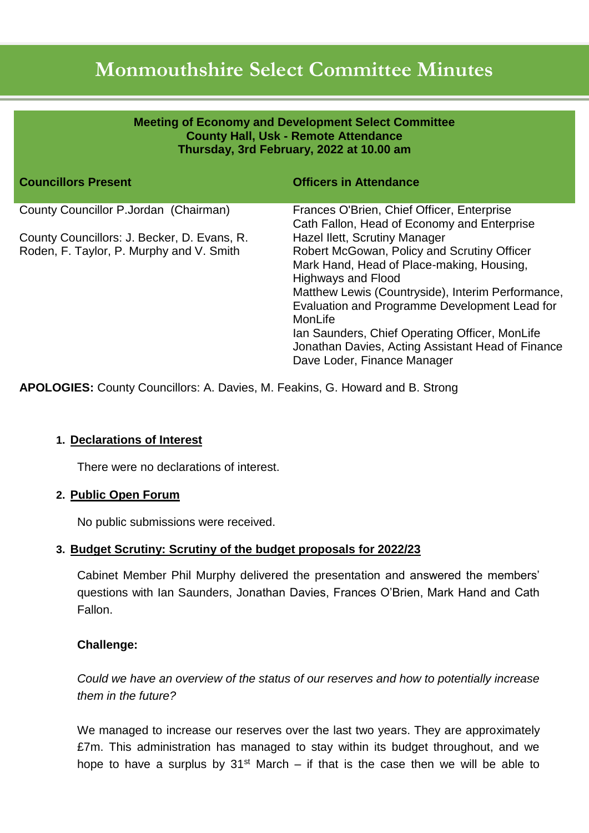# **Monmouthshire Select Committee Minutes**

| <b>Meeting of Economy and Development Select Committee</b><br><b>County Hall, Usk - Remote Attendance</b><br>Thursday, 3rd February, 2022 at 10.00 am |                                                                                                                                                                                                                                                                                                                                                                                                               |
|-------------------------------------------------------------------------------------------------------------------------------------------------------|---------------------------------------------------------------------------------------------------------------------------------------------------------------------------------------------------------------------------------------------------------------------------------------------------------------------------------------------------------------------------------------------------------------|
| <b>Councillors Present</b>                                                                                                                            | <b>Officers in Attendance</b>                                                                                                                                                                                                                                                                                                                                                                                 |
| County Councillor P.Jordan (Chairman)                                                                                                                 | Frances O'Brien, Chief Officer, Enterprise<br>Cath Fallon, Head of Economy and Enterprise                                                                                                                                                                                                                                                                                                                     |
| County Councillors: J. Becker, D. Evans, R.<br>Roden, F. Taylor, P. Murphy and V. Smith                                                               | Hazel Ilett, Scrutiny Manager<br>Robert McGowan, Policy and Scrutiny Officer<br>Mark Hand, Head of Place-making, Housing,<br><b>Highways and Flood</b><br>Matthew Lewis (Countryside), Interim Performance,<br>Evaluation and Programme Development Lead for<br>MonLife<br>Ian Saunders, Chief Operating Officer, MonLife<br>Jonathan Davies, Acting Assistant Head of Finance<br>Dave Loder, Finance Manager |

**APOLOGIES:** County Councillors: A. Davies, M. Feakins, G. Howard and B. Strong

# **1. Declarations of Interest**

There were no declarations of interest.

#### **2. Public Open Forum**

No public submissions were received.

# **3. Budget Scrutiny: Scrutiny of the budget proposals for 2022/23**

Cabinet Member Phil Murphy delivered the presentation and answered the members' questions with Ian Saunders, Jonathan Davies, Frances O'Brien, Mark Hand and Cath Fallon.

# **Challenge:**

*Could we have an overview of the status of our reserves and how to potentially increase them in the future?*

We managed to increase our reserves over the last two years. They are approximately £7m. This administration has managed to stay within its budget throughout, and we hope to have a surplus by  $31<sup>st</sup>$  March – if that is the case then we will be able to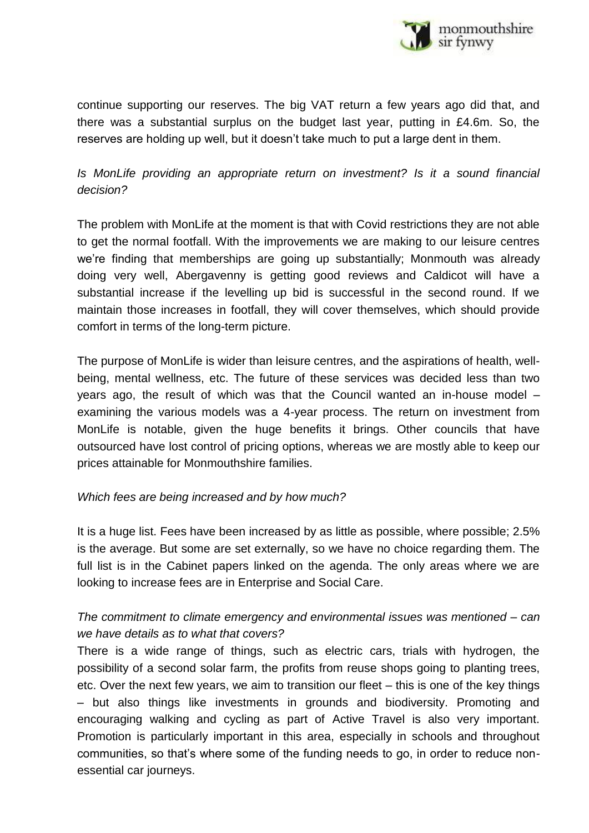

continue supporting our reserves. The big VAT return a few years ago did that, and there was a substantial surplus on the budget last year, putting in £4.6m. So, the reserves are holding up well, but it doesn't take much to put a large dent in them.

# *Is MonLife providing an appropriate return on investment? Is it a sound financial decision?*

The problem with MonLife at the moment is that with Covid restrictions they are not able to get the normal footfall. With the improvements we are making to our leisure centres we're finding that memberships are going up substantially; Monmouth was already doing very well, Abergavenny is getting good reviews and Caldicot will have a substantial increase if the levelling up bid is successful in the second round. If we maintain those increases in footfall, they will cover themselves, which should provide comfort in terms of the long-term picture.

The purpose of MonLife is wider than leisure centres, and the aspirations of health, wellbeing, mental wellness, etc. The future of these services was decided less than two years ago, the result of which was that the Council wanted an in-house model – examining the various models was a 4-year process. The return on investment from MonLife is notable, given the huge benefits it brings. Other councils that have outsourced have lost control of pricing options, whereas we are mostly able to keep our prices attainable for Monmouthshire families.

#### *Which fees are being increased and by how much?*

It is a huge list. Fees have been increased by as little as possible, where possible; 2.5% is the average. But some are set externally, so we have no choice regarding them. The full list is in the Cabinet papers linked on the agenda. The only areas where we are looking to increase fees are in Enterprise and Social Care.

# *The commitment to climate emergency and environmental issues was mentioned – can we have details as to what that covers?*

There is a wide range of things, such as electric cars, trials with hydrogen, the possibility of a second solar farm, the profits from reuse shops going to planting trees, etc. Over the next few years, we aim to transition our fleet – this is one of the key things – but also things like investments in grounds and biodiversity. Promoting and encouraging walking and cycling as part of Active Travel is also very important. Promotion is particularly important in this area, especially in schools and throughout communities, so that's where some of the funding needs to go, in order to reduce nonessential car journeys.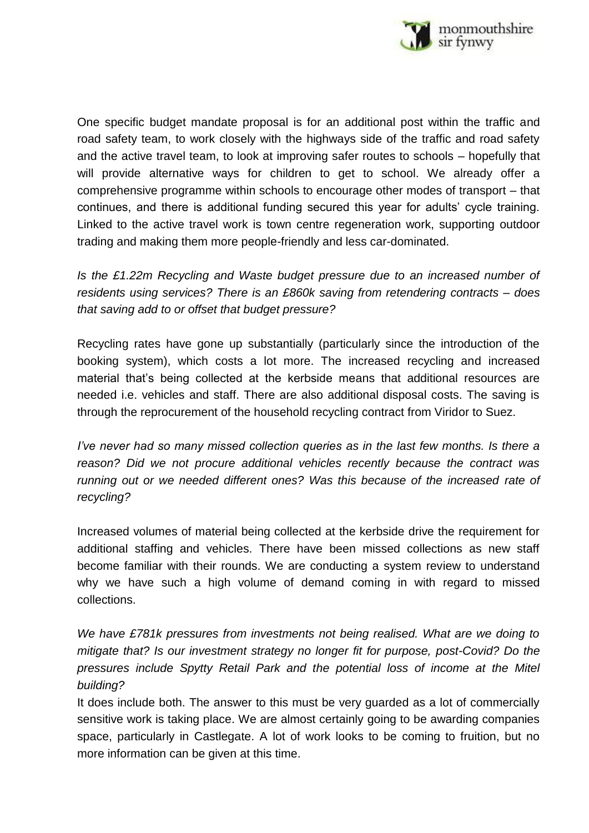

One specific budget mandate proposal is for an additional post within the traffic and road safety team, to work closely with the highways side of the traffic and road safety and the active travel team, to look at improving safer routes to schools – hopefully that will provide alternative ways for children to get to school. We already offer a comprehensive programme within schools to encourage other modes of transport – that continues, and there is additional funding secured this year for adults' cycle training. Linked to the active travel work is town centre regeneration work, supporting outdoor trading and making them more people-friendly and less car-dominated.

*Is the £1.22m Recycling and Waste budget pressure due to an increased number of residents using services? There is an £860k saving from retendering contracts – does that saving add to or offset that budget pressure?* 

Recycling rates have gone up substantially (particularly since the introduction of the booking system), which costs a lot more. The increased recycling and increased material that's being collected at the kerbside means that additional resources are needed i.e. vehicles and staff. There are also additional disposal costs. The saving is through the reprocurement of the household recycling contract from Viridor to Suez.

*I've never had so many missed collection queries as in the last few months. Is there a reason? Did we not procure additional vehicles recently because the contract was running out or we needed different ones? Was this because of the increased rate of recycling?*

Increased volumes of material being collected at the kerbside drive the requirement for additional staffing and vehicles. There have been missed collections as new staff become familiar with their rounds. We are conducting a system review to understand why we have such a high volume of demand coming in with regard to missed collections.

*We have £781k pressures from investments not being realised. What are we doing to mitigate that? Is our investment strategy no longer fit for purpose, post-Covid? Do the pressures include Spytty Retail Park and the potential loss of income at the Mitel building?*

It does include both. The answer to this must be very guarded as a lot of commercially sensitive work is taking place. We are almost certainly going to be awarding companies space, particularly in Castlegate. A lot of work looks to be coming to fruition, but no more information can be given at this time.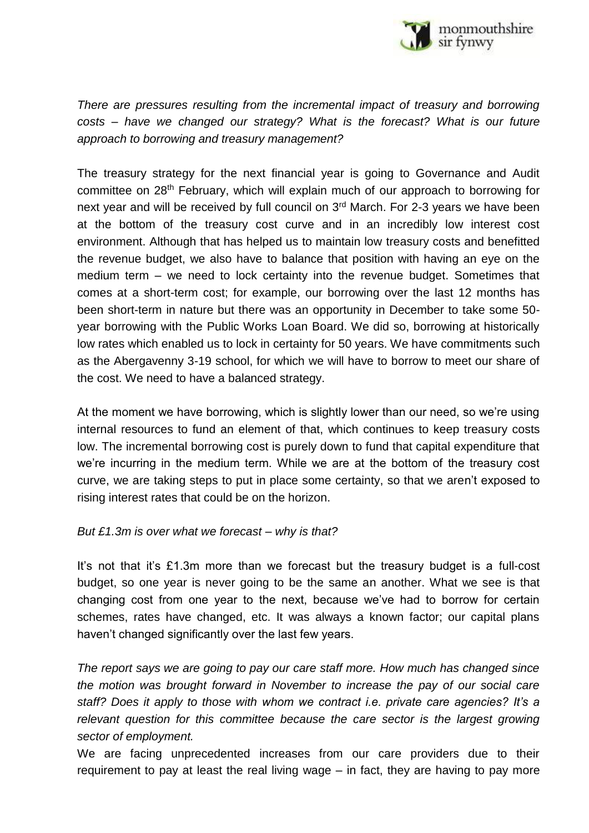

*There are pressures resulting from the incremental impact of treasury and borrowing costs – have we changed our strategy? What is the forecast? What is our future approach to borrowing and treasury management?*

The treasury strategy for the next financial year is going to Governance and Audit committee on 28th February, which will explain much of our approach to borrowing for next year and will be received by full council on 3<sup>rd</sup> March. For 2-3 years we have been at the bottom of the treasury cost curve and in an incredibly low interest cost environment. Although that has helped us to maintain low treasury costs and benefitted the revenue budget, we also have to balance that position with having an eye on the medium term – we need to lock certainty into the revenue budget. Sometimes that comes at a short-term cost; for example, our borrowing over the last 12 months has been short-term in nature but there was an opportunity in December to take some 50 year borrowing with the Public Works Loan Board. We did so, borrowing at historically low rates which enabled us to lock in certainty for 50 years. We have commitments such as the Abergavenny 3-19 school, for which we will have to borrow to meet our share of the cost. We need to have a balanced strategy.

At the moment we have borrowing, which is slightly lower than our need, so we're using internal resources to fund an element of that, which continues to keep treasury costs low. The incremental borrowing cost is purely down to fund that capital expenditure that we're incurring in the medium term. While we are at the bottom of the treasury cost curve, we are taking steps to put in place some certainty, so that we aren't exposed to rising interest rates that could be on the horizon.

#### *But £1.3m is over what we forecast – why is that?*

It's not that it's £1.3m more than we forecast but the treasury budget is a full-cost budget, so one year is never going to be the same an another. What we see is that changing cost from one year to the next, because we've had to borrow for certain schemes, rates have changed, etc. It was always a known factor; our capital plans haven't changed significantly over the last few years.

*The report says we are going to pay our care staff more. How much has changed since the motion was brought forward in November to increase the pay of our social care staff? Does it apply to those with whom we contract i.e. private care agencies? It's a relevant question for this committee because the care sector is the largest growing sector of employment.*

We are facing unprecedented increases from our care providers due to their requirement to pay at least the real living wage – in fact, they are having to pay more